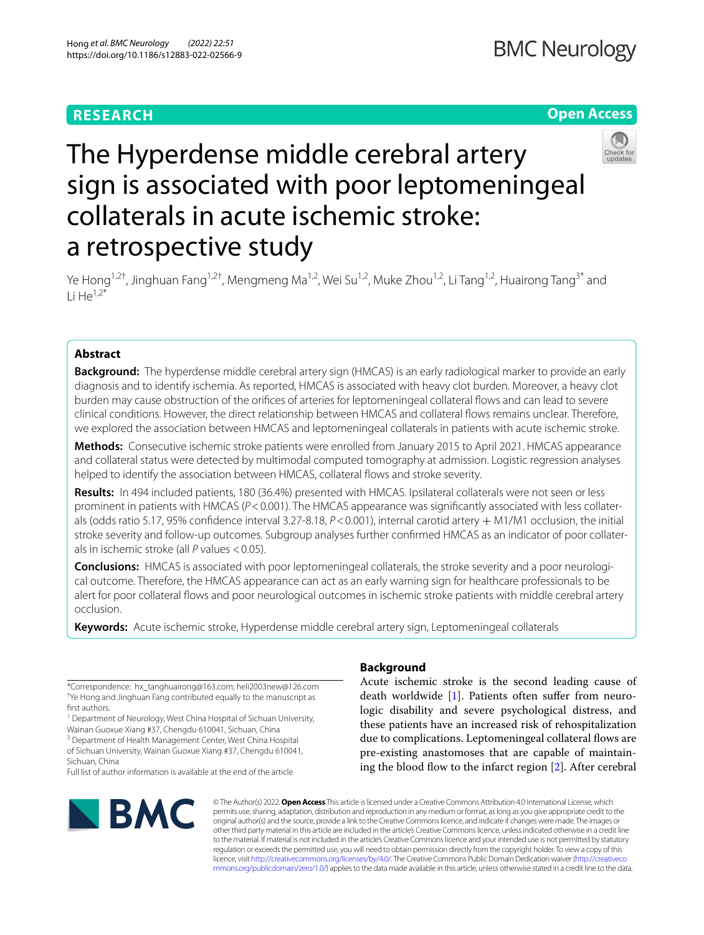# **RESEARCH**

# **Open Access**



# The Hyperdense middle cerebral artery sign is associated with poor leptomeningeal collaterals in acute ischemic stroke: a retrospective study

Ye Hong<sup>1,2†</sup>, Jinghuan Fang<sup>1,2†</sup>, Mengmeng Ma<sup>1,2</sup>, Wei Su<sup>1,2</sup>, Muke Zhou<sup>1,2</sup>, Li Tang<sup>1,2</sup>, Huairong Tang<sup>3\*</sup> and Li He<sup>1,2\*</sup>

# **Abstract**

**Background:** The hyperdense middle cerebral artery sign (HMCAS) is an early radiological marker to provide an early diagnosis and to identify ischemia. As reported, HMCAS is associated with heavy clot burden. Moreover, a heavy clot burden may cause obstruction of the orifces of arteries for leptomeningeal collateral fows and can lead to severe clinical conditions. However, the direct relationship between HMCAS and collateral fows remains unclear. Therefore, we explored the association between HMCAS and leptomeningeal collaterals in patients with acute ischemic stroke.

**Methods:** Consecutive ischemic stroke patients were enrolled from January 2015 to April 2021. HMCAS appearance and collateral status were detected by multimodal computed tomography at admission. Logistic regression analyses helped to identify the association between HMCAS, collateral flows and stroke severity.

**Results:** In 494 included patients, 180 (36.4%) presented with HMCAS. Ipsilateral collaterals were not seen or less prominent in patients with HMCAS ( $P$ <0.001). The HMCAS appearance was significantly associated with less collaterals (odds ratio 5.17, 95% confdence interval 3.27-8.18, *P*<0.001), internal carotid artery + M1/M1 occlusion, the initial stroke severity and follow-up outcomes. Subgroup analyses further confrmed HMCAS as an indicator of poor collaterals in ischemic stroke (all *P* values <0.05).

**Conclusions:** HMCAS is associated with poor leptomeningeal collaterals, the stroke severity and a poor neurological outcome. Therefore, the HMCAS appearance can act as an early warning sign for healthcare professionals to be alert for poor collateral fows and poor neurological outcomes in ischemic stroke patients with middle cerebral artery occlusion.

**Keywords:** Acute ischemic stroke, Hyperdense middle cerebral artery sign, Leptomeningeal collaterals

\*Correspondence: hx\_tanghuairong@163.com; heli2003new@126.com † Ye Hong and Jinghuan Fang contributed equally to the manuscript as frst authors.

<sup>1</sup> Department of Neurology, West China Hospital of Sichuan University, Wainan Guoxue Xiang #37, Chengdu 610041, Sichuan, China

<sup>3</sup> Department of Health Management Center, West China Hospital of Sichuan University, Wainan Guoxue Xiang #37, Chengdu 610041,

Sichuan, China Full list of author information is available at the end of the article



# **Background**

Acute ischemic stroke is the second leading cause of death worldwide [\[1](#page-7-0)]. Patients often suffer from neurologic disability and severe psychological distress, and these patients have an increased risk of rehospitalization due to complications. Leptomeningeal collateral flows are pre-existing anastomoses that are capable of maintain-ing the blood flow to the infarct region [\[2](#page-7-1)]. After cerebral

© The Author(s) 2022. **Open Access** This article is licensed under a Creative Commons Attribution 4.0 International License, which permits use, sharing, adaptation, distribution and reproduction in any medium or format, as long as you give appropriate credit to the original author(s) and the source, provide a link to the Creative Commons licence, and indicate if changes were made. The images or other third party material in this article are included in the article's Creative Commons licence, unless indicated otherwise in a credit line to the material. If material is not included in the article's Creative Commons licence and your intended use is not permitted by statutory regulation or exceeds the permitted use, you will need to obtain permission directly from the copyright holder. To view a copy of this licence, visit [http://creativecommons.org/licenses/by/4.0/.](http://creativecommons.org/licenses/by/4.0/) The Creative Commons Public Domain Dedication waiver ([http://creativeco](http://creativecommons.org/publicdomain/zero/1.0/) [mmons.org/publicdomain/zero/1.0/](http://creativecommons.org/publicdomain/zero/1.0/)) applies to the data made available in this article, unless otherwise stated in a credit line to the data.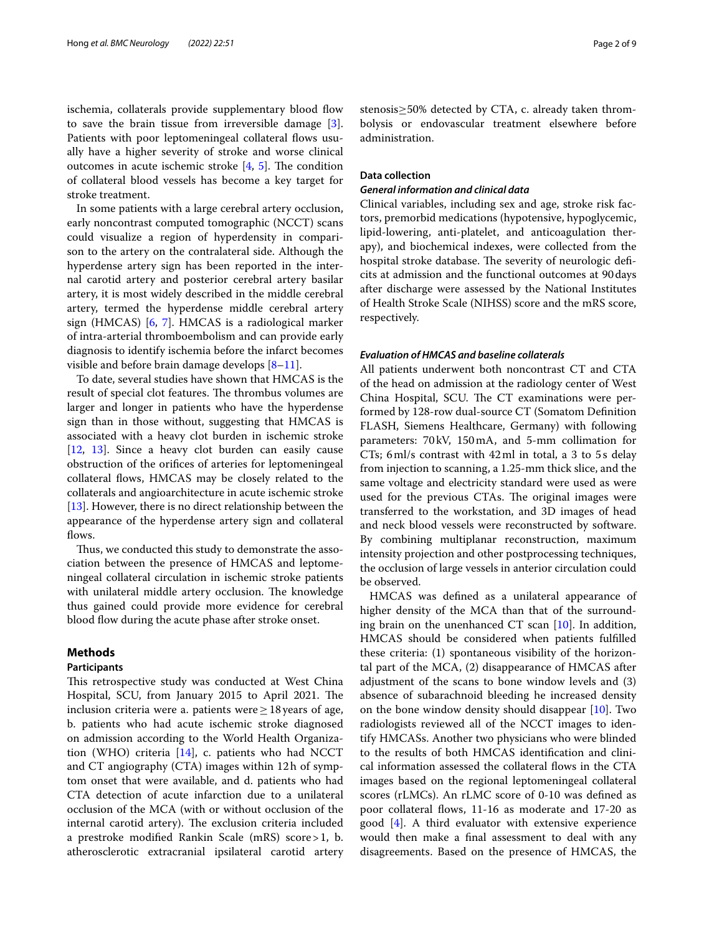ischemia, collaterals provide supplementary blood flow to save the brain tissue from irreversible damage [\[3](#page-7-2)]. Patients with poor leptomeningeal collateral flows usually have a higher severity of stroke and worse clinical outcomes in acute ischemic stroke  $[4, 5]$  $[4, 5]$  $[4, 5]$ . The condition of collateral blood vessels has become a key target for stroke treatment.

In some patients with a large cerebral artery occlusion, early noncontrast computed tomographic (NCCT) scans could visualize a region of hyperdensity in comparison to the artery on the contralateral side. Although the hyperdense artery sign has been reported in the internal carotid artery and posterior cerebral artery basilar artery, it is most widely described in the middle cerebral artery, termed the hyperdense middle cerebral artery sign (HMCAS) [\[6](#page-7-5), [7](#page-7-6)]. HMCAS is a radiological marker of intra-arterial thromboembolism and can provide early diagnosis to identify ischemia before the infarct becomes visible and before brain damage develops  $[8-11]$  $[8-11]$  $[8-11]$ .

To date, several studies have shown that HMCAS is the result of special clot features. The thrombus volumes are larger and longer in patients who have the hyperdense sign than in those without, suggesting that HMCAS is associated with a heavy clot burden in ischemic stroke [[12,](#page-7-9) [13](#page-7-10)]. Since a heavy clot burden can easily cause obstruction of the orifces of arteries for leptomeningeal collateral flows, HMCAS may be closely related to the collaterals and angioarchitecture in acute ischemic stroke [[13\]](#page-7-10). However, there is no direct relationship between the appearance of the hyperdense artery sign and collateral flows.

Thus, we conducted this study to demonstrate the association between the presence of HMCAS and leptomeningeal collateral circulation in ischemic stroke patients with unilateral middle artery occlusion. The knowledge thus gained could provide more evidence for cerebral blood flow during the acute phase after stroke onset.

# **Methods**

## **Participants**

This retrospective study was conducted at West China Hospital, SCU, from January 2015 to April 2021. The inclusion criteria were a. patients were  $\geq 18$  years of age, b. patients who had acute ischemic stroke diagnosed on admission according to the World Health Organization (WHO) criteria [[14\]](#page-7-11), c. patients who had NCCT and CT angiography (CTA) images within 12h of symptom onset that were available, and d. patients who had CTA detection of acute infarction due to a unilateral occlusion of the MCA (with or without occlusion of the internal carotid artery). The exclusion criteria included a prestroke modifed Rankin Scale (mRS) score>1, b. atherosclerotic extracranial ipsilateral carotid artery stenosis≥50% detected by CTA, c. already taken thrombolysis or endovascular treatment elsewhere before administration.

# **Data collection**

#### *General information and clinical data*

Clinical variables, including sex and age, stroke risk factors, premorbid medications (hypotensive, hypoglycemic, lipid-lowering, anti-platelet, and anticoagulation therapy), and biochemical indexes, were collected from the hospital stroke database. The severity of neurologic deficits at admission and the functional outcomes at 90days after discharge were assessed by the National Institutes of Health Stroke Scale (NIHSS) score and the mRS score, respectively.

# *Evaluation of HMCAS and baseline collaterals*

All patients underwent both noncontrast CT and CTA of the head on admission at the radiology center of West China Hospital, SCU. The CT examinations were performed by 128-row dual-source CT (Somatom Defnition FLASH, Siemens Healthcare, Germany) with following parameters: 70kV, 150mA, and 5-mm collimation for CTs; 6ml/s contrast with 42ml in total, a 3 to 5s delay from injection to scanning, a 1.25-mm thick slice, and the same voltage and electricity standard were used as were used for the previous CTAs. The original images were transferred to the workstation, and 3D images of head and neck blood vessels were reconstructed by software. By combining multiplanar reconstruction, maximum intensity projection and other postprocessing techniques, the occlusion of large vessels in anterior circulation could be observed.

HMCAS was defned as a unilateral appearance of higher density of the MCA than that of the surrounding brain on the unenhanced CT scan [\[10](#page-7-12)]. In addition, HMCAS should be considered when patients fulflled these criteria: (1) spontaneous visibility of the horizontal part of the MCA, (2) disappearance of HMCAS after adjustment of the scans to bone window levels and (3) absence of subarachnoid bleeding he increased density on the bone window density should disappear [\[10](#page-7-12)]. Two radiologists reviewed all of the NCCT images to identify HMCASs. Another two physicians who were blinded to the results of both HMCAS identifcation and clinical information assessed the collateral flows in the CTA images based on the regional leptomeningeal collateral scores (rLMCs). An rLMC score of 0-10 was defned as poor collateral flows, 11-16 as moderate and 17-20 as good [\[4](#page-7-3)]. A third evaluator with extensive experience would then make a fnal assessment to deal with any disagreements. Based on the presence of HMCAS, the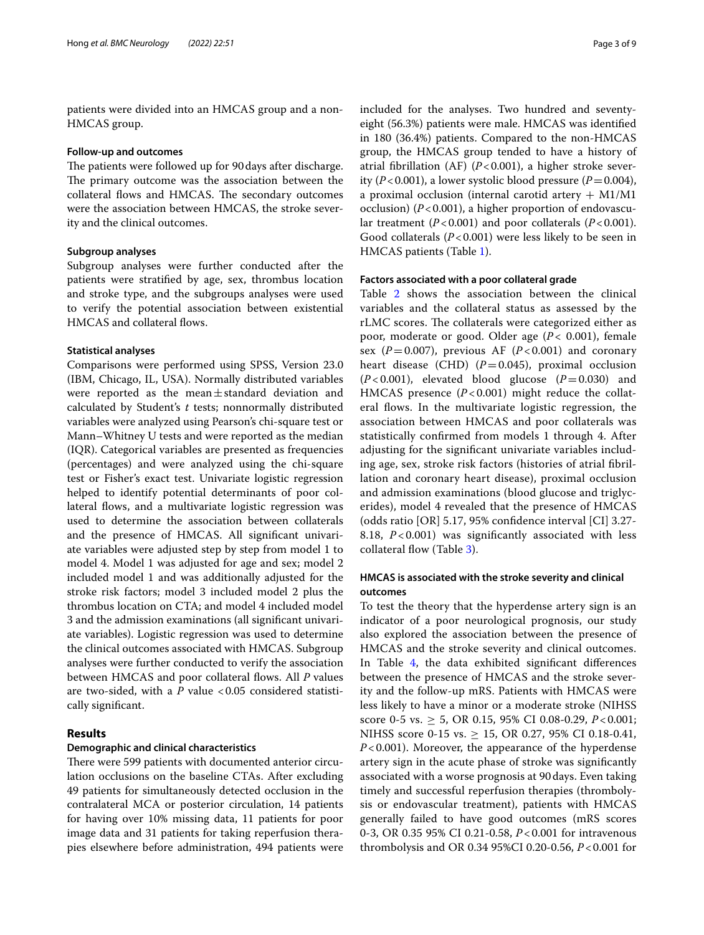patients were divided into an HMCAS group and a non-HMCAS group.

#### **Follow‑up and outcomes**

The patients were followed up for 90 days after discharge. The primary outcome was the association between the collateral flows and HMCAS. The secondary outcomes were the association between HMCAS, the stroke severity and the clinical outcomes.

# **Subgroup analyses**

Subgroup analyses were further conducted after the patients were stratifed by age, sex, thrombus location and stroke type, and the subgroups analyses were used to verify the potential association between existential HMCAS and collateral flows.

#### **Statistical analyses**

Comparisons were performed using SPSS, Version 23.0 (IBM, Chicago, IL, USA). Normally distributed variables were reported as the mean $\pm$ standard deviation and calculated by Student's *t* tests; nonnormally distributed variables were analyzed using Pearson's chi-square test or Mann–Whitney U tests and were reported as the median (IQR). Categorical variables are presented as frequencies (percentages) and were analyzed using the chi-square test or Fisher's exact test. Univariate logistic regression helped to identify potential determinants of poor collateral flows, and a multivariate logistic regression was used to determine the association between collaterals and the presence of HMCAS. All signifcant univariate variables were adjusted step by step from model 1 to model 4. Model 1 was adjusted for age and sex; model 2 included model 1 and was additionally adjusted for the stroke risk factors; model 3 included model 2 plus the thrombus location on CTA; and model 4 included model 3 and the admission examinations (all signifcant univariate variables). Logistic regression was used to determine the clinical outcomes associated with HMCAS. Subgroup analyses were further conducted to verify the association between HMCAS and poor collateral flows. All *P* values are two-sided, with a *P* value <0.05 considered statistically signifcant.

# **Results**

## **Demographic and clinical characteristics**

There were 599 patients with documented anterior circulation occlusions on the baseline CTAs. After excluding 49 patients for simultaneously detected occlusion in the contralateral MCA or posterior circulation, 14 patients for having over 10% missing data, 11 patients for poor image data and 31 patients for taking reperfusion therapies elsewhere before administration, 494 patients were included for the analyses. Two hundred and seventyeight (56.3%) patients were male. HMCAS was identifed in 180 (36.4%) patients. Compared to the non-HMCAS group, the HMCAS group tended to have a history of atrial fbrillation (AF) (*P*<0.001), a higher stroke severity (*P*<0.001), a lower systolic blood pressure (*P*=0.004), a proximal occlusion (internal carotid artery  $+$  M1/M1 occlusion) (*P*<0.001), a higher proportion of endovascular treatment (*P*<0.001) and poor collaterals (*P*<0.001). Good collaterals (*P*<0.001) were less likely to be seen in HMCAS patients (Table [1\)](#page-3-0).

### **Factors associated with a poor collateral grade**

Table [2](#page-4-0) shows the association between the clinical variables and the collateral status as assessed by the rLMC scores. The collaterals were categorized either as poor, moderate or good. Older age (*P<* 0.001), female sex  $(P=0.007)$ , previous AF  $(P<0.001)$  and coronary heart disease (CHD)  $(P=0.045)$ , proximal occlusion  $(P<0.001)$ , elevated blood glucose  $(P=0.030)$  and HMCAS presence (P<0.001) might reduce the collateral fows. In the multivariate logistic regression, the association between HMCAS and poor collaterals was statistically confrmed from models 1 through 4. After adjusting for the signifcant univariate variables including age, sex, stroke risk factors (histories of atrial fbrillation and coronary heart disease), proximal occlusion and admission examinations (blood glucose and triglycerides), model 4 revealed that the presence of HMCAS (odds ratio [OR] 5.17, 95% confdence interval [CI] 3.27- 8.18, *P* < 0.001) was signifcantly associated with less collateral flow (Table [3](#page-4-1)).

# **HMCAS is associated with the stroke severity and clinical outcomes**

To test the theory that the hyperdense artery sign is an indicator of a poor neurological prognosis, our study also explored the association between the presence of HMCAS and the stroke severity and clinical outcomes. In Table [4,](#page-4-2) the data exhibited signifcant diferences between the presence of HMCAS and the stroke severity and the follow-up mRS. Patients with HMCAS were less likely to have a minor or a moderate stroke (NIHSS score 0-5 vs. ≥ 5, OR 0.15, 95% CI 0.08-0.29, *P*<0.001; NIHSS score 0-15 vs. ≥ 15, OR 0.27, 95% CI 0.18-0.41, *P*<0.001). Moreover, the appearance of the hyperdense artery sign in the acute phase of stroke was signifcantly associated with a worse prognosis at 90days. Even taking timely and successful reperfusion therapies (thrombolysis or endovascular treatment), patients with HMCAS generally failed to have good outcomes (mRS scores 0-3, OR 0.35 95% CI 0.21-0.58, *P*<0.001 for intravenous thrombolysis and OR 0.34 95%CI 0.20-0.56, *P*<0.001 for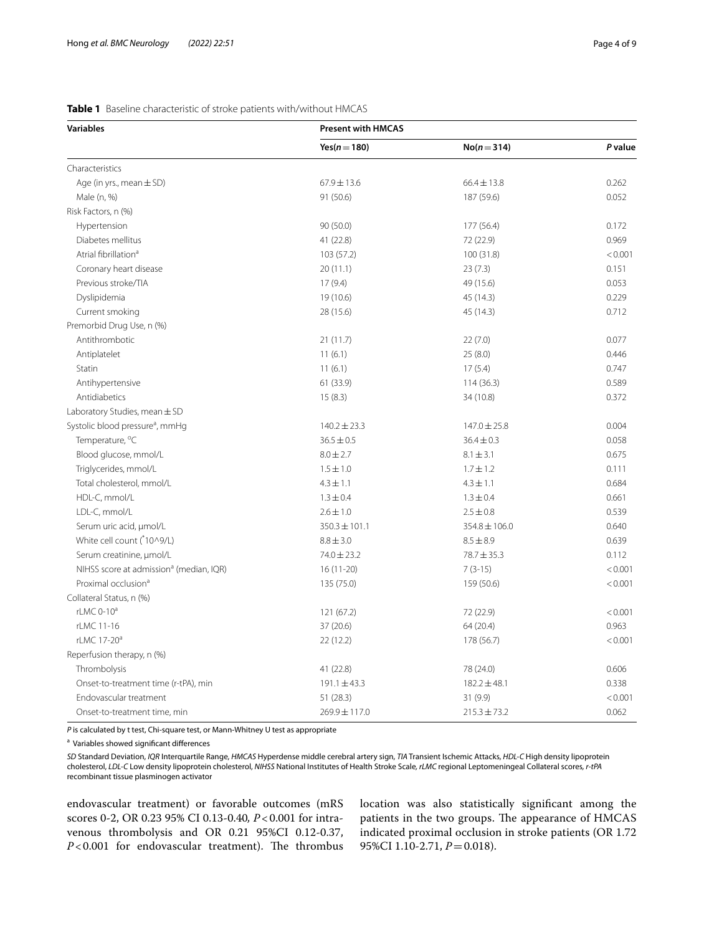# <span id="page-3-0"></span>**Table 1** Baseline characteristic of stroke patients with/without HMCAS

| <b>Variables</b>                                    | <b>Present with HMCAS</b> |                  |         |  |
|-----------------------------------------------------|---------------------------|------------------|---------|--|
|                                                     | Yes( $n = 180$ )          | $No(n = 314)$    | P value |  |
| Characteristics                                     |                           |                  |         |  |
| Age (in yrs., mean $\pm$ SD)                        | $67.9 \pm 13.6$           | $66.4 \pm 13.8$  | 0.262   |  |
| Male (n, %)                                         | 91 (50.6)                 | 187 (59.6)       | 0.052   |  |
| Risk Factors, n (%)                                 |                           |                  |         |  |
| Hypertension                                        | 90(50.0)                  | 177 (56.4)       | 0.172   |  |
| Diabetes mellitus                                   | 41 (22.8)                 | 72 (22.9)        | 0.969   |  |
| Atrial fibrillation <sup>a</sup>                    | 103 (57.2)                | 100 (31.8)       | < 0.001 |  |
| Coronary heart disease                              | 20(11.1)                  | 23(7.3)          | 0.151   |  |
| Previous stroke/TIA                                 | 17(9.4)                   | 49 (15.6)        | 0.053   |  |
| Dyslipidemia                                        | 19 (10.6)                 | 45 (14.3)        | 0.229   |  |
| Current smoking                                     | 28 (15.6)                 | 45 (14.3)        | 0.712   |  |
| Premorbid Drug Use, n (%)                           |                           |                  |         |  |
| Antithrombotic                                      | 21(11.7)                  | 22(7.0)          | 0.077   |  |
| Antiplatelet                                        | 11(6.1)                   | 25(8.0)          | 0.446   |  |
| Statin                                              | 11(6.1)                   | 17(5.4)          | 0.747   |  |
| Antihypertensive                                    | 61 (33.9)                 | 114(36.3)        | 0.589   |  |
| Antidiabetics                                       | 15(8.3)                   | 34 (10.8)        | 0.372   |  |
| Laboratory Studies, mean $\pm$ SD                   |                           |                  |         |  |
| Systolic blood pressure <sup>a</sup> , mmHg         | $140.2 \pm 23.3$          | $147.0 \pm 25.8$ | 0.004   |  |
| Temperature, °C                                     | $36.5 \pm 0.5$            | $36.4 \pm 0.3$   | 0.058   |  |
| Blood glucose, mmol/L                               | $8.0 \pm 2.7$             | $8.1 \pm 3.1$    | 0.675   |  |
| Triglycerides, mmol/L                               | $1.5 \pm 1.0$             | $1.7 \pm 1.2$    | 0.111   |  |
| Total cholesterol, mmol/L                           | $4.3 \pm 1.1$             | $4.3 \pm 1.1$    | 0.684   |  |
| HDL-C, mmol/L                                       | $1.3 \pm 0.4$             | $1.3 \pm 0.4$    | 0.661   |  |
| LDL-C, mmol/L                                       | $2.6 \pm 1.0$             | $2.5 \pm 0.8$    | 0.539   |  |
| Serum uric acid, µmol/L                             | $350.3 \pm 101.1$         | 354.8 ± 106.0    | 0.640   |  |
| White cell count (*10^9/L)                          | $8.8 \pm 3.0$             | $8.5 \pm 8.9$    | 0.639   |  |
| Serum creatinine, µmol/L                            | 74.0 ± 23.2               | 78.7 ± 35.3      | 0.112   |  |
| NIHSS score at admission <sup>a</sup> (median, IQR) | $16(11-20)$               | $7(3-15)$        | < 0.001 |  |
| Proximal occlusion <sup>a</sup>                     | 135 (75.0)                | 159 (50.6)       | < 0.001 |  |
| Collateral Status, n (%)                            |                           |                  |         |  |
| rLMC 0-10 <sup>a</sup>                              | 121 (67.2)                | 72 (22.9)        | < 0.001 |  |
| rLMC 11-16                                          | 37(20.6)                  | 64 (20.4)        | 0.963   |  |
| rLMC 17-20 <sup>a</sup>                             | 22 (12.2)                 | 178 (56.7)       | < 0.001 |  |
| Reperfusion therapy, n (%)                          |                           |                  |         |  |
| Thrombolysis                                        | 41 (22.8)                 | 78 (24.0)        | 0.606   |  |
| Onset-to-treatment time (r-tPA), min                | $191.1 \pm 43.3$          | $182.2 \pm 48.1$ | 0.338   |  |
| Endovascular treatment                              | 51(28.3)                  | 31(9.9)          | < 0.001 |  |
| Onset-to-treatment time, min                        | 269.9 ± 117.0             | $215.3 \pm 73.2$ | 0.062   |  |

*P* is calculated by t test, Chi-square test, or Mann-Whitney U test as appropriate

<sup>a</sup> Variables showed significant differences

*SD* Standard Deviation, *IQR* Interquartile Range, *HMCAS* Hyperdense middle cerebral artery sign, *TIA* Transient Ischemic Attacks, *HDL-C* High density lipoprotein cholesterol, *LDL-C* Low density lipoprotein cholesterol, *NIHSS* National Institutes of Health Stroke Scale*, rLMC* regional Leptomeningeal Collateral scores*, r-tPA* recombinant tissue plasminogen activator

endovascular treatment) or favorable outcomes (mRS scores 0-2, OR 0.23 95% CI 0.13-0.40*, P*<0.001 for intravenous thrombolysis and OR 0.21 95%CI 0.12-0.37,  $P < 0.001$  for endovascular treatment). The thrombus location was also statistically signifcant among the patients in the two groups. The appearance of HMCAS indicated proximal occlusion in stroke patients (OR 1.72 95%CI 1.10-2.71, *P* = 0.018).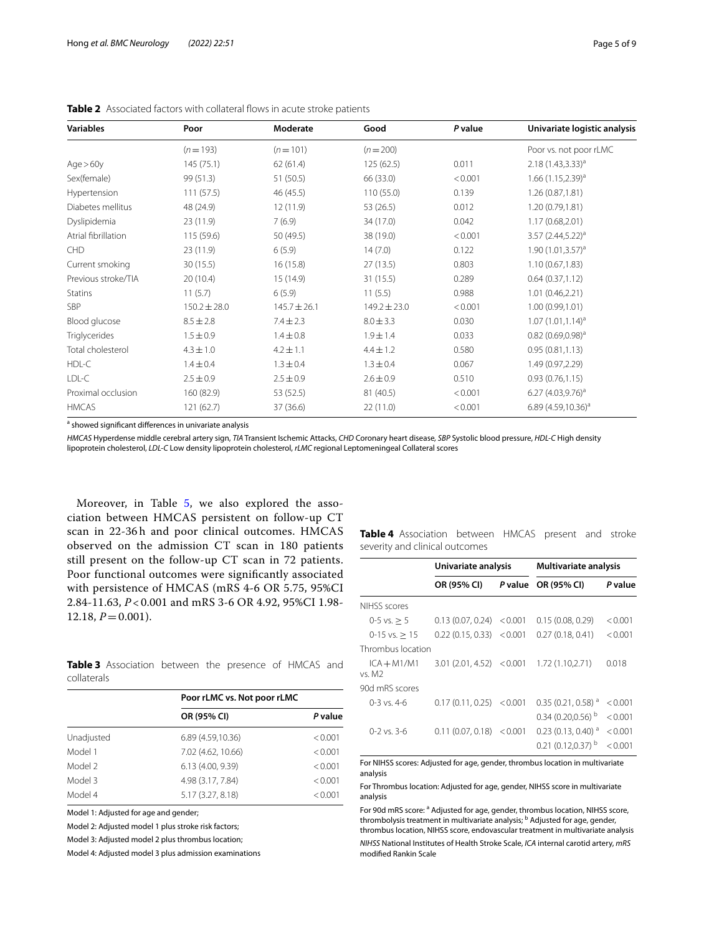| <b>Variables</b>    | Poor             | Moderate         | Good             | P value | Univariate logistic analysis    |
|---------------------|------------------|------------------|------------------|---------|---------------------------------|
|                     | $(n=193)$        | $(n=101)$        | $(n=200)$        |         | Poor vs. not poor rLMC          |
| Age > 60y           | 145 (75.1)       | 62(61.4)         | 125 (62.5)       | 0.011   | $2.18(1.43,3.33)^{a}$           |
| Sex(female)         | 99 (51.3)        | 51 (50.5)        | 66 (33.0)        | < 0.001 | $1.66$ (1.15,2.39) <sup>a</sup> |
| Hypertension        | 111(57.5)        | 46 (45.5)        | 110 (55.0)       | 0.139   | 1.26 (0.87,1.81)                |
| Diabetes mellitus   | 48 (24.9)        | 12(11.9)         | 53 (26.5)        | 0.012   | 1.20 (0.79,1.81)                |
| Dyslipidemia        | 23(11.9)         | 7(6.9)           | 34 (17.0)        | 0.042   | 1.17(0.68, 2.01)                |
| Atrial fibrillation | 115 (59.6)       | 50 (49.5)        | 38 (19.0)        | < 0.001 | $3.57 (2.44, 5.22)^{a}$         |
| <b>CHD</b>          | 23 (11.9)        | 6(5.9)           | 14(7.0)          | 0.122   | $1.90(1.01, 3.57)^a$            |
| Current smoking     | 30(15.5)         | 16(15.8)         | 27 (13.5)        | 0.803   | 1.10(0.67, 1.83)                |
| Previous stroke/TIA | 20(10.4)         | 15 (14.9)        | 31 (15.5)        | 0.289   | 0.64(0.37,1.12)                 |
| <b>Statins</b>      | 11(5.7)          | 6(5.9)           | 11(5.5)          | 0.988   | 1.01 (0.46,2.21)                |
| <b>SBP</b>          | $150.2 \pm 28.0$ | $145.7 \pm 26.1$ | $149.2 \pm 23.0$ | < 0.001 | 1.00(0.99, 1.01)                |
| Blood glucose       | $8.5 \pm 2.8$    | $7.4 \pm 2.3$    | $8.0 \pm 3.3$    | 0.030   | $1.07(1.01, 1.14)^a$            |
| Triglycerides       | $1.5 \pm 0.9$    | $1.4 \pm 0.8$    | $1.9 \pm 1.4$    | 0.033   | $0.82$ (0.69,0.98) <sup>a</sup> |
| Total cholesterol   | $4.3 \pm 1.0$    | $4.2 \pm 1.1$    | $4.4 \pm 1.2$    | 0.580   | 0.95(0.81, 1.13)                |
| HDL-C               | $1.4 \pm 0.4$    | $1.3 \pm 0.4$    | $1.3 \pm 0.4$    | 0.067   | 1.49 (0.97,2.29)                |
| LDL-C               | $2.5 \pm 0.9$    | $2.5 \pm 0.9$    | $2.6 \pm 0.9$    | 0.510   | 0.93(0.76, 1.15)                |
| Proximal occlusion  | 160 (82.9)       | 53 (52.5)        | 81 (40.5)        | < 0.001 | $6.27 (4.03, 9.76)^a$           |
| <b>HMCAS</b>        | 121 (62.7)       | 37 (36.6)        | 22 (11.0)        | < 0.001 | 6.89 (4.59,10.36) <sup>a</sup>  |

<span id="page-4-0"></span>**Table 2** Associated factors with collateral flows in acute stroke patients

<sup>a</sup> showed significant differences in univariate analysis

*HMCAS* Hyperdense middle cerebral artery sign, *TIA* Transient Ischemic Attacks, *CHD* Coronary heart disease*, SBP* Systolic blood pressure, *HDL-C* High density lipoprotein cholesterol, *LDL-C* Low density lipoprotein cholesterol, *rLMC* regional Leptomeningeal Collateral scores

Moreover, in Table [5,](#page-5-0) we also explored the association between HMCAS persistent on follow-up CT scan in 22-36h and poor clinical outcomes. HMCAS observed on the admission CT scan in 180 patients still present on the follow-up CT scan in 72 patients. Poor functional outcomes were signifcantly associated with persistence of HMCAS (mRS 4-6 OR 5.75, 95%CI 2.84-11.63, *P* < 0.001 and mRS 3-6 OR 4.92, 95%CI 1.98-  $12.18, P = 0.001$ .

<span id="page-4-1"></span>**Table 3** Association between the presence of HMCAS and collaterals

|            | Poor rLMC vs. Not poor rLMC |         |  |
|------------|-----------------------------|---------|--|
|            | OR (95% CI)                 | P value |  |
| Unadjusted | 6.89 (4.59,10.36)           | < 0.001 |  |
| Model 1    | 7.02 (4.62, 10.66)          | < 0.001 |  |
| Model 2    | 6.13 (4.00, 9.39)           | < 0.001 |  |
| Model 3    | 4.98 (3.17, 7.84)           | < 0.001 |  |
| Model 4    | 5.17 (3.27, 8.18)           | < 0.001 |  |

Model 1: Adjusted for age and gender;

Model 2: Adjusted model 1 plus stroke risk factors;

Model 3: Adjusted model 2 plus thrombus location;

Model 4: Adjusted model 3 plus admission examinations

<span id="page-4-2"></span>**Table 4** Association between HMCAS present and stroke severity and clinical outcomes

|                         | Univariate analysis |         | <b>Multivariate analysis</b>   |         |
|-------------------------|---------------------|---------|--------------------------------|---------|
|                         | OR (95% CI)         |         | P value OR (95% CI)            | P value |
| NIHSS scores            |                     |         |                                |         |
| $0-5$ vs. $> 5$         | 0.13(0.07, 0.24)    | < 0.001 | 0.15(0.08, 0.29)               | < 0.001 |
| $0-15$ vs. $> 15$       | 0.22(0.15, 0.33)    | < 0.001 | 0.27(0.18, 0.41)               | < 0.001 |
| Thrombus location       |                     |         |                                |         |
| $ICA + M1/M1$<br>vs. M2 | 3.01 (2.01, 4.52)   | < 0.001 | 1.72 (1.10,2.71)               | 0.018   |
| 90d mRS scores          |                     |         |                                |         |
| $0-3$ vs. 4-6           | 0.17(0.11, 0.25)    | < 0.001 | $0.35(0.21, 0.58)^{a}$         | < 0.001 |
|                         |                     |         | $0.34(0.20, 0.56)^{b}$         | < 0.001 |
| $0 - 2$ vs. 3-6         | 0.11(0.07, 0.18)    | < 0.001 | $0.23(0.13, 0.40)^{a}$         | < 0.001 |
|                         |                     |         | $0.21(0.12.0.37)$ <sup>b</sup> | < 0.001 |

For NIHSS scores: Adjusted for age, gender, thrombus location in multivariate analysis

For Thrombus location: Adjusted for age, gender, NIHSS score in multivariate analysis

For 90d mRS score: <sup>a</sup> Adjusted for age, gender, thrombus location, NIHSS score, thrombolysis treatment in multivariate analysis; <sup>b</sup> Adjusted for age, gender, thrombus location, NIHSS score, endovascular treatment in multivariate analysis

*NIHSS* National Institutes of Health Stroke Scale, *ICA* internal carotid artery, *mRS* modifed Rankin Scale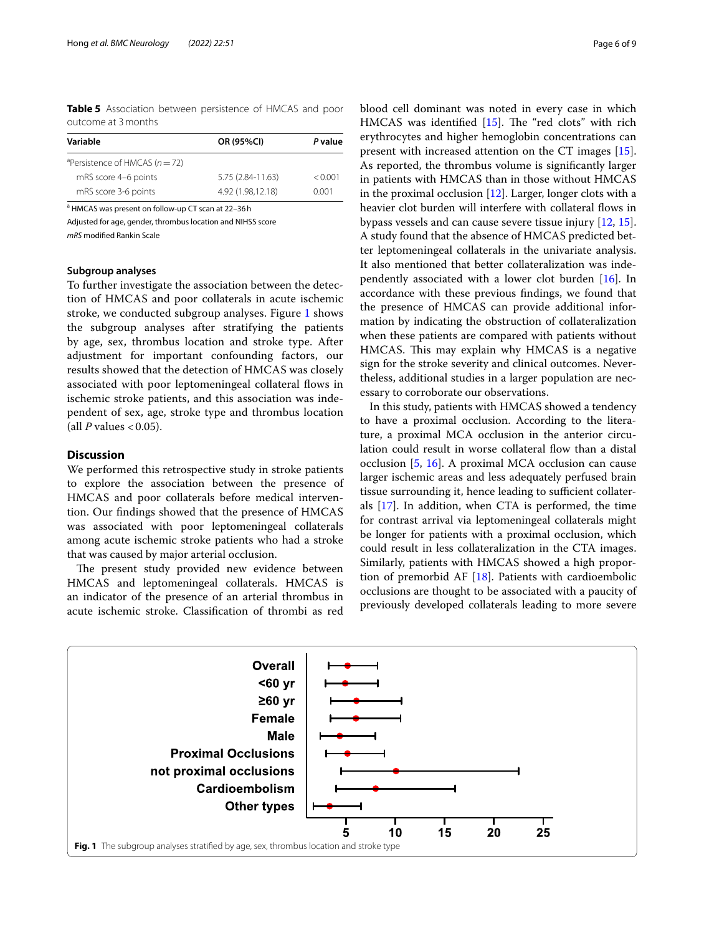<span id="page-5-0"></span>**Table 5** Association between persistence of HMCAS and poor outcome at 3months

| Variable                                       | OR (95%CI)        | P value |  |
|------------------------------------------------|-------------------|---------|--|
| <sup>a</sup> Persistence of HMCAS ( $n = 72$ ) |                   |         |  |
| mRS score 4-6 points                           | 5.75 (2.84-11.63) | < 0.001 |  |
| mRS score 3-6 points                           | 4.92 (1.98.12.18) | 0.001   |  |

<sup>a</sup> HMCAS was present on follow-up CT scan at 22-36h

Adjusted for age, gender, thrombus location and NIHSS score *mRS* modifed Rankin Scale

#### **Subgroup analyses**

To further investigate the association between the detection of HMCAS and poor collaterals in acute ischemic stroke, we conducted subgroup analyses. Figure [1](#page-5-1) shows the subgroup analyses after stratifying the patients by age, sex, thrombus location and stroke type. After adjustment for important confounding factors, our results showed that the detection of HMCAS was closely associated with poor leptomeningeal collateral fows in ischemic stroke patients, and this association was independent of sex, age, stroke type and thrombus location (all  $P$  values  $< 0.05$ ).

## **Discussion**

We performed this retrospective study in stroke patients to explore the association between the presence of HMCAS and poor collaterals before medical intervention. Our fndings showed that the presence of HMCAS was associated with poor leptomeningeal collaterals among acute ischemic stroke patients who had a stroke that was caused by major arterial occlusion.

The present study provided new evidence between HMCAS and leptomeningeal collaterals. HMCAS is an indicator of the presence of an arterial thrombus in acute ischemic stroke. Classifcation of thrombi as red

blood cell dominant was noted in every case in which HMCAS was identified  $[15]$  $[15]$ . The "red clots" with rich erythrocytes and higher hemoglobin concentrations can present with increased attention on the CT images [\[15](#page-7-13)]. As reported, the thrombus volume is signifcantly larger in patients with HMCAS than in those without HMCAS in the proximal occlusion [[12](#page-7-9)]. Larger, longer clots with a heavier clot burden will interfere with collateral flows in bypass vessels and can cause severe tissue injury [[12,](#page-7-9) [15](#page-7-13)]. A study found that the absence of HMCAS predicted better leptomeningeal collaterals in the univariate analysis. It also mentioned that better collateralization was independently associated with a lower clot burden [\[16](#page-7-14)]. In accordance with these previous fndings, we found that the presence of HMCAS can provide additional information by indicating the obstruction of collateralization when these patients are compared with patients without HMCAS. This may explain why HMCAS is a negative sign for the stroke severity and clinical outcomes. Nevertheless, additional studies in a larger population are necessary to corroborate our observations.

In this study, patients with HMCAS showed a tendency to have a proximal occlusion. According to the literature, a proximal MCA occlusion in the anterior circulation could result in worse collateral flow than a distal occlusion [\[5](#page-7-4), [16\]](#page-7-14). A proximal MCA occlusion can cause larger ischemic areas and less adequately perfused brain tissue surrounding it, hence leading to sufficient collaterals [\[17](#page-7-15)]. In addition, when CTA is performed, the time for contrast arrival via leptomeningeal collaterals might be longer for patients with a proximal occlusion, which could result in less collateralization in the CTA images. Similarly, patients with HMCAS showed a high proportion of premorbid AF [[18\]](#page-7-16). Patients with cardioembolic occlusions are thought to be associated with a paucity of previously developed collaterals leading to more severe

<span id="page-5-1"></span>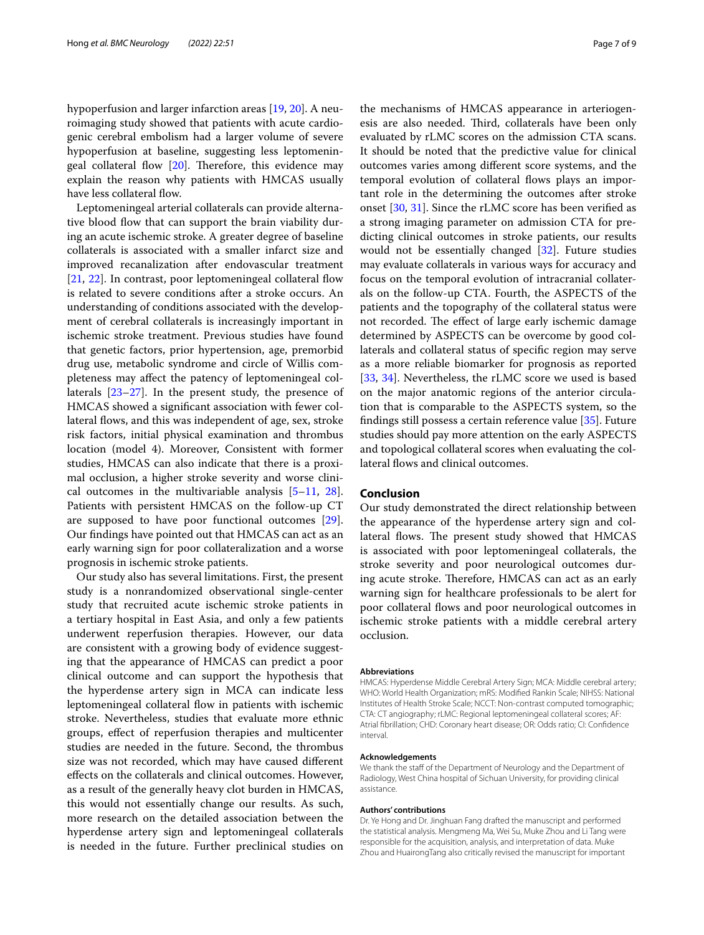hypoperfusion and larger infarction areas [[19,](#page-7-17) [20\]](#page-7-18). A neuroimaging study showed that patients with acute cardiogenic cerebral embolism had a larger volume of severe hypoperfusion at baseline, suggesting less leptomeningeal collateral flow  $[20]$  $[20]$ . Therefore, this evidence may explain the reason why patients with HMCAS usually have less collateral flow.

Leptomeningeal arterial collaterals can provide alternative blood flow that can support the brain viability during an acute ischemic stroke. A greater degree of baseline collaterals is associated with a smaller infarct size and improved recanalization after endovascular treatment [[21,](#page-7-19) [22\]](#page-7-20). In contrast, poor leptomeningeal collateral flow is related to severe conditions after a stroke occurs. An understanding of conditions associated with the development of cerebral collaterals is increasingly important in ischemic stroke treatment. Previous studies have found that genetic factors, prior hypertension, age, premorbid drug use, metabolic syndrome and circle of Willis completeness may afect the patency of leptomeningeal collaterals [[23–](#page-7-21)[27](#page-7-22)]. In the present study, the presence of HMCAS showed a signifcant association with fewer collateral flows, and this was independent of age, sex, stroke risk factors, initial physical examination and thrombus location (model 4). Moreover, Consistent with former studies, HMCAS can also indicate that there is a proximal occlusion, a higher stroke severity and worse clinical outcomes in the multivariable analysis [\[5](#page-7-4)[–11](#page-7-8), [28](#page-7-23)]. Patients with persistent HMCAS on the follow-up CT are supposed to have poor functional outcomes [\[29](#page-7-24)]. Our fndings have pointed out that HMCAS can act as an early warning sign for poor collateralization and a worse prognosis in ischemic stroke patients.

Our study also has several limitations. First, the present study is a nonrandomized observational single-center study that recruited acute ischemic stroke patients in a tertiary hospital in East Asia, and only a few patients underwent reperfusion therapies. However, our data are consistent with a growing body of evidence suggesting that the appearance of HMCAS can predict a poor clinical outcome and can support the hypothesis that the hyperdense artery sign in MCA can indicate less leptomeningeal collateral flow in patients with ischemic stroke. Nevertheless, studies that evaluate more ethnic groups, efect of reperfusion therapies and multicenter studies are needed in the future. Second, the thrombus size was not recorded, which may have caused diferent efects on the collaterals and clinical outcomes. However, as a result of the generally heavy clot burden in HMCAS, this would not essentially change our results. As such, more research on the detailed association between the hyperdense artery sign and leptomeningeal collaterals is needed in the future. Further preclinical studies on

the mechanisms of HMCAS appearance in arteriogenesis are also needed. Third, collaterals have been only evaluated by rLMC scores on the admission CTA scans. It should be noted that the predictive value for clinical outcomes varies among diferent score systems, and the temporal evolution of collateral fows plays an important role in the determining the outcomes after stroke onset [[30,](#page-7-25) [31](#page-7-26)]. Since the rLMC score has been verifed as a strong imaging parameter on admission CTA for predicting clinical outcomes in stroke patients, our results would not be essentially changed [[32\]](#page-8-0). Future studies may evaluate collaterals in various ways for accuracy and focus on the temporal evolution of intracranial collaterals on the follow-up CTA. Fourth, the ASPECTS of the patients and the topography of the collateral status were not recorded. The effect of large early ischemic damage determined by ASPECTS can be overcome by good collaterals and collateral status of specifc region may serve as a more reliable biomarker for prognosis as reported [[33,](#page-8-1) [34\]](#page-8-2). Nevertheless, the rLMC score we used is based on the major anatomic regions of the anterior circulation that is comparable to the ASPECTS system, so the fndings still possess a certain reference value [\[35](#page-8-3)]. Future studies should pay more attention on the early ASPECTS and topological collateral scores when evaluating the collateral flows and clinical outcomes.

# **Conclusion**

Our study demonstrated the direct relationship between the appearance of the hyperdense artery sign and collateral flows. The present study showed that HMCAS is associated with poor leptomeningeal collaterals, the stroke severity and poor neurological outcomes during acute stroke. Therefore, HMCAS can act as an early warning sign for healthcare professionals to be alert for poor collateral flows and poor neurological outcomes in ischemic stroke patients with a middle cerebral artery occlusion.

#### **Abbreviations**

HMCAS: Hyperdense Middle Cerebral Artery Sign; MCA: Middle cerebral artery; WHO: World Health Organization; mRS: Modifed Rankin Scale; NIHSS: National Institutes of Health Stroke Scale; NCCT: Non-contrast computed tomographic; CTA: CT angiography; rLMC: Regional leptomeningeal collateral scores; AF: Atrial fbrillation; CHD: Coronary heart disease; OR: Odds ratio; CI: Confdence interval.

#### **Acknowledgements**

We thank the staff of the Department of Neurology and the Department of Radiology, West China hospital of Sichuan University, for providing clinical assistance.

#### **Authors' contributions**

Dr. Ye Hong and Dr. Jinghuan Fang drafted the manuscript and performed the statistical analysis. Mengmeng Ma, Wei Su, Muke Zhou and Li Tang were responsible for the acquisition, analysis, and interpretation of data. Muke Zhou and HuairongTang also critically revised the manuscript for important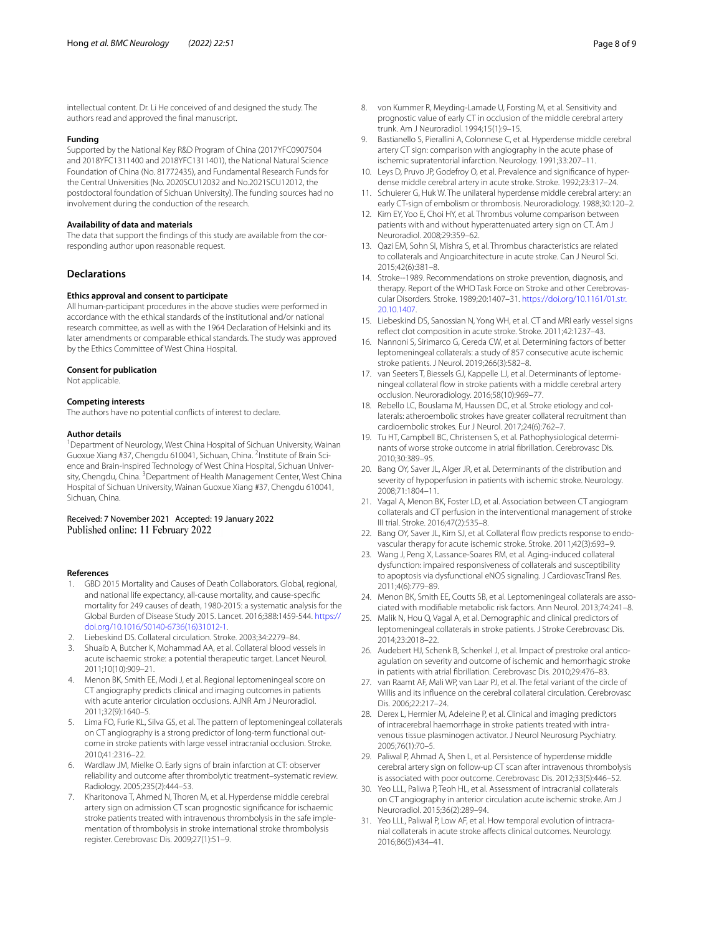intellectual content. Dr. Li He conceived of and designed the study. The authors read and approved the fnal manuscript.

#### **Funding**

Supported by the National Key R&D Program of China (2017YFC0907504 and 2018YFC1311400 and 2018YFC1311401), the National Natural Science Foundation of China (No. 81772435), and Fundamental Research Funds for the Central Universities (No. 2020SCU12032 and No.2021SCU12012, the postdoctoral foundation of Sichuan University). The funding sources had no involvement during the conduction of the research.

## **Availability of data and materials**

The data that support the fndings of this study are available from the corresponding author upon reasonable request.

#### **Declarations**

#### **Ethics approval and consent to participate**

All human-participant procedures in the above studies were performed in accordance with the ethical standards of the institutional and/or national research committee, as well as with the 1964 Declaration of Helsinki and its later amendments or comparable ethical standards. The study was approved by the Ethics Committee of West China Hospital.

#### **Consent for publication**

Not applicable.

#### **Competing interests**

The authors have no potential conficts of interest to declare.

#### **Author details**

<sup>1</sup> Department of Neurology, West China Hospital of Sichuan University, Wainan Guoxue Xiang #37, Chengdu 610041, Sichuan, China. <sup>2</sup>Institute of Brain Science and Brain-Inspired Technology of West China Hospital, Sichuan University, Chengdu, China. <sup>3</sup> Department of Health Management Center, West China Hospital of Sichuan University, Wainan Guoxue Xiang #37, Chengdu 610041, Sichuan, China.

#### Received: 7 November 2021 Accepted: 19 January 2022 Published online: 11 February 2022

#### **References**

- <span id="page-7-0"></span>GBD 2015 Mortality and Causes of Death Collaborators. Global, regional, and national life expectancy, all-cause mortality, and cause-specifc mortality for 249 causes of death, 1980-2015: a systematic analysis for the Global Burden of Disease Study 2015. Lancet. 2016;388:1459-544. [https://](https://doi.org/10.1016/S0140-6736(16)31012-1) [doi.org/10.1016/S0140-6736\(16\)31012-1.](https://doi.org/10.1016/S0140-6736(16)31012-1)
- <span id="page-7-1"></span>2. Liebeskind DS. Collateral circulation. Stroke. 2003;34:2279–84.
- <span id="page-7-2"></span>3. Shuaib A, Butcher K, Mohammad AA, et al. Collateral blood vessels in acute ischaemic stroke: a potential therapeutic target. Lancet Neurol. 2011;10(10):909–21.
- <span id="page-7-3"></span>4. Menon BK, Smith EE, Modi J, et al. Regional leptomeningeal score on CT angiography predicts clinical and imaging outcomes in patients with acute anterior circulation occlusions. AJNR Am J Neuroradiol. 2011;32(9):1640–5.
- <span id="page-7-4"></span>5. Lima FO, Furie KL, Silva GS, et al. The pattern of leptomeningeal collaterals on CT angiography is a strong predictor of long-term functional outcome in stroke patients with large vessel intracranial occlusion. Stroke. 2010;41:2316–22.
- <span id="page-7-5"></span>6. Wardlaw JM, Mielke O. Early signs of brain infarction at CT: observer reliability and outcome after thrombolytic treatment–systematic review. Radiology. 2005;235(2):444–53.
- <span id="page-7-6"></span>7. Kharitonova T, Ahmed N, Thoren M, et al. Hyperdense middle cerebral artery sign on admission CT scan prognostic signifcance for ischaemic stroke patients treated with intravenous thrombolysis in the safe implementation of thrombolysis in stroke international stroke thrombolysis register. Cerebrovasc Dis. 2009;27(1):51–9.
- <span id="page-7-7"></span>8. von Kummer R, Meyding-Lamade U, Forsting M, et al. Sensitivity and prognostic value of early CT in occlusion of the middle cerebral artery trunk. Am J Neuroradiol. 1994;15(1):9–15.
- 9. Bastianello S, Pierallini A, Colonnese C, et al. Hyperdense middle cerebral artery CT sign: comparison with angiography in the acute phase of ischemic supratentorial infarction. Neurology. 1991;33:207–11.
- <span id="page-7-12"></span>10. Leys D, Pruvo JP, Godefroy O, et al. Prevalence and signifcance of hyperdense middle cerebral artery in acute stroke. Stroke. 1992;23:317–24.
- <span id="page-7-8"></span>11. Schuierer G, Huk W. The unilateral hyperdense middle cerebral artery: an early CT-sign of embolism or thrombosis. Neuroradiology. 1988;30:120–2.
- <span id="page-7-9"></span>12. Kim EY, Yoo E, Choi HY, et al. Thrombus volume comparison between patients with and without hyperattenuated artery sign on CT. Am J Neuroradiol. 2008;29:359–62.
- <span id="page-7-10"></span>13. Qazi EM, Sohn SI, Mishra S, et al. Thrombus characteristics are related to collaterals and Angioarchitecture in acute stroke. Can J Neurol Sci. 2015;42(6):381–8.
- <span id="page-7-11"></span>14. Stroke--1989. Recommendations on stroke prevention, diagnosis, and therapy. Report of the WHO Task Force on Stroke and other Cerebrovascular Disorders. Stroke. 1989;20:1407–31. [https://doi.org/10.1161/01.str.](https://doi.org/10.1161/01.str.20.10.1407) [20.10.1407.](https://doi.org/10.1161/01.str.20.10.1407)
- <span id="page-7-13"></span>15. Liebeskind DS, Sanossian N, Yong WH, et al. CT and MRI early vessel signs refect clot composition in acute stroke. Stroke. 2011;42:1237–43.
- <span id="page-7-14"></span>16. Nannoni S, Sirimarco G, Cereda CW, et al. Determining factors of better leptomeningeal collaterals: a study of 857 consecutive acute ischemic stroke patients. J Neurol. 2019;266(3):582–8.
- <span id="page-7-15"></span>17. van Seeters T, Biessels GJ, Kappelle LJ, et al. Determinants of leptomeningeal collateral fow in stroke patients with a middle cerebral artery occlusion. Neuroradiology. 2016;58(10):969–77.
- <span id="page-7-16"></span>18. Rebello LC, Bouslama M, Haussen DC, et al. Stroke etiology and collaterals: atheroembolic strokes have greater collateral recruitment than cardioembolic strokes. Eur J Neurol. 2017;24(6):762–7.
- <span id="page-7-17"></span>19. Tu HT, Campbell BC, Christensen S, et al. Pathophysiological determinants of worse stroke outcome in atrial fbrillation. Cerebrovasc Dis. 2010;30:389–95.
- <span id="page-7-18"></span>20. Bang OY, Saver JL, Alger JR, et al. Determinants of the distribution and severity of hypoperfusion in patients with ischemic stroke. Neurology. 2008;71:1804–11.
- <span id="page-7-19"></span>21. Vagal A, Menon BK, Foster LD, et al. Association between CT angiogram collaterals and CT perfusion in the interventional management of stroke III trial. Stroke. 2016;47(2):535–8.
- <span id="page-7-20"></span>22. Bang OY, Saver JL, Kim SJ, et al. Collateral flow predicts response to endovascular therapy for acute ischemic stroke. Stroke. 2011;42(3):693–9.
- <span id="page-7-21"></span>23. Wang J, Peng X, Lassance-Soares RM, et al. Aging-induced collateral dysfunction: impaired responsiveness of collaterals and susceptibility to apoptosis via dysfunctional eNOS signaling. J CardiovascTransl Res. 2011;4(6):779–89.
- 24. Menon BK, Smith EE, Coutts SB, et al. Leptomeningeal collaterals are associated with modifable metabolic risk factors. Ann Neurol. 2013;74:241–8.
- 25. Malik N, Hou Q, Vagal A, et al. Demographic and clinical predictors of leptomeningeal collaterals in stroke patients. J Stroke Cerebrovasc Dis. 2014;23:2018–22.
- 26. Audebert HJ, Schenk B, Schenkel J, et al. Impact of prestroke oral anticoagulation on severity and outcome of ischemic and hemorrhagic stroke in patients with atrial fbrillation. Cerebrovasc Dis. 2010;29:476–83.
- <span id="page-7-22"></span>27. van Raamt AF, Mali WP, van Laar PJ, et al. The fetal variant of the circle of Willis and its infuence on the cerebral collateral circulation. Cerebrovasc Dis. 2006;22:217–24.
- <span id="page-7-23"></span>28. Derex L, Hermier M, Adeleine P, et al. Clinical and imaging predictors of intracerebral haemorrhage in stroke patients treated with intravenous tissue plasminogen activator. J Neurol Neurosurg Psychiatry. 2005;76(1):70–5.
- <span id="page-7-24"></span>29. Paliwal P, Ahmad A, Shen L, et al. Persistence of hyperdense middle cerebral artery sign on follow-up CT scan after intravenous thrombolysis is associated with poor outcome. Cerebrovasc Dis. 2012;33(5):446–52.
- <span id="page-7-25"></span>30. Yeo LLL, Paliwa P, Teoh HL, et al. Assessment of intracranial collaterals on CT angiography in anterior circulation acute ischemic stroke. Am J Neuroradiol. 2015;36(2):289–94.
- <span id="page-7-26"></span>31. Yeo LLL, Paliwal P, Low AF, et al. How temporal evolution of intracranial collaterals in acute stroke afects clinical outcomes. Neurology. 2016;86(5):434–41.